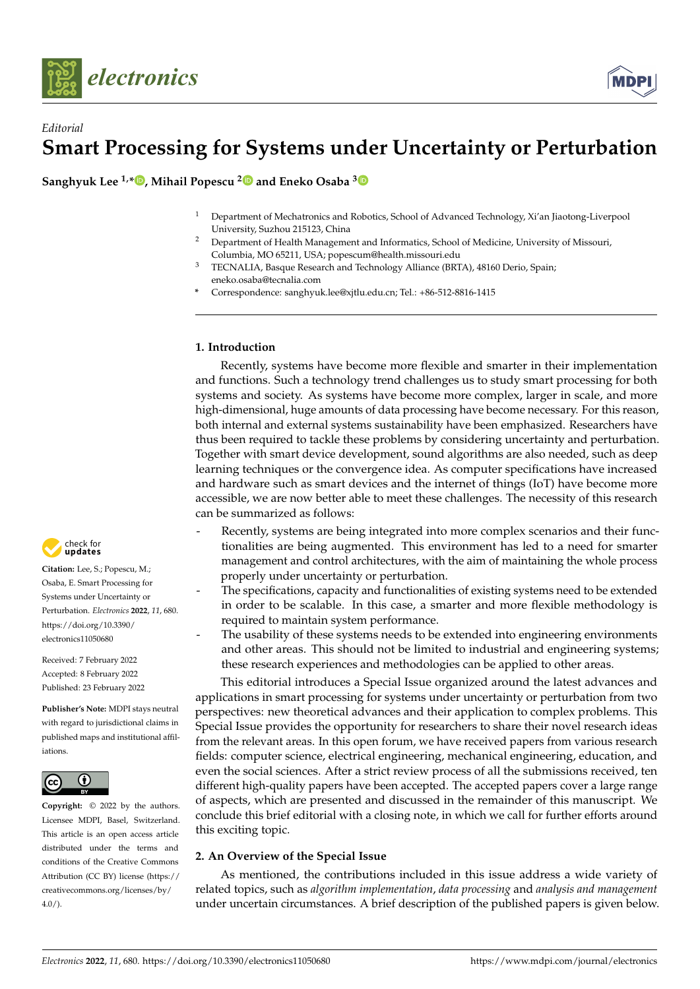



**Sanghyuk Lee 1,[\\*](https://orcid.org/0000-0003-0253-6936) , Mihail Popescu [2](https://orcid.org/0000-0002-6145-8096) and Eneko Osaba [3](https://orcid.org/0000-0001-7863-9910)**

- <sup>1</sup> Department of Mechatronics and Robotics, School of Advanced Technology, Xi'an Jiaotong-Liverpool University, Suzhou 215123, China
- <sup>2</sup> Department of Health Management and Informatics, School of Medicine, University of Missouri, Columbia, MO 65211, USA; popescum@health.missouri.edu
- <sup>3</sup> TECNALIA, Basque Research and Technology Alliance (BRTA), 48160 Derio, Spain; eneko.osaba@tecnalia.com
- **\*** Correspondence: sanghyuk.lee@xjtlu.edu.cn; Tel.: +86-512-8816-1415

## **1. Introduction**

Recently, systems have become more flexible and smarter in their implementation and functions. Such a technology trend challenges us to study smart processing for both systems and society. As systems have become more complex, larger in scale, and more high-dimensional, huge amounts of data processing have become necessary. For this reason, both internal and external systems sustainability have been emphasized. Researchers have thus been required to tackle these problems by considering uncertainty and perturbation. Together with smart device development, sound algorithms are also needed, such as deep learning techniques or the convergence idea. As computer specifications have increased and hardware such as smart devices and the internet of things (IoT) have become more accessible, we are now better able to meet these challenges. The necessity of this research can be summarized as follows:

- Recently, systems are being integrated into more complex scenarios and their functionalities are being augmented. This environment has led to a need for smarter management and control architectures, with the aim of maintaining the whole process properly under uncertainty or perturbation.
- The specifications, capacity and functionalities of existing systems need to be extended in order to be scalable. In this case, a smarter and more flexible methodology is required to maintain system performance.
	- The usability of these systems needs to be extended into engineering environments and other areas. This should not be limited to industrial and engineering systems; these research experiences and methodologies can be applied to other areas.

This editorial introduces a Special Issue organized around the latest advances and applications in smart processing for systems under uncertainty or perturbation from two perspectives: new theoretical advances and their application to complex problems. This Special Issue provides the opportunity for researchers to share their novel research ideas from the relevant areas. In this open forum, we have received papers from various research fields: computer science, electrical engineering, mechanical engineering, education, and even the social sciences. After a strict review process of all the submissions received, ten different high-quality papers have been accepted. The accepted papers cover a large range of aspects, which are presented and discussed in the remainder of this manuscript. We conclude this brief editorial with a closing note, in which we call for further efforts around this exciting topic.

## **2. An Overview of the Special Issue**

As mentioned, the contributions included in this issue address a wide variety of related topics, such as *algorithm implementation*, *data processing* and *analysis and management* under uncertain circumstances. A brief description of the published papers is given below.



**Citation:** Lee, S.; Popescu, M.; Osaba, E. Smart Processing for Systems under Uncertainty or Perturbation. *Electronics* **2022**, *11*, 680. [https://doi.org/10.3390/](https://doi.org/10.3390/electronics11050680) [electronics11050680](https://doi.org/10.3390/electronics11050680)

Received: 7 February 2022 Accepted: 8 February 2022 Published: 23 February 2022

**Publisher's Note:** MDPI stays neutral with regard to jurisdictional claims in published maps and institutional affiliations.



**Copyright:** © 2022 by the authors. Licensee MDPI, Basel, Switzerland. This article is an open access article distributed under the terms and conditions of the Creative Commons Attribution (CC BY) license [\(https://](https://creativecommons.org/licenses/by/4.0/) [creativecommons.org/licenses/by/](https://creativecommons.org/licenses/by/4.0/)  $4.0/$ ).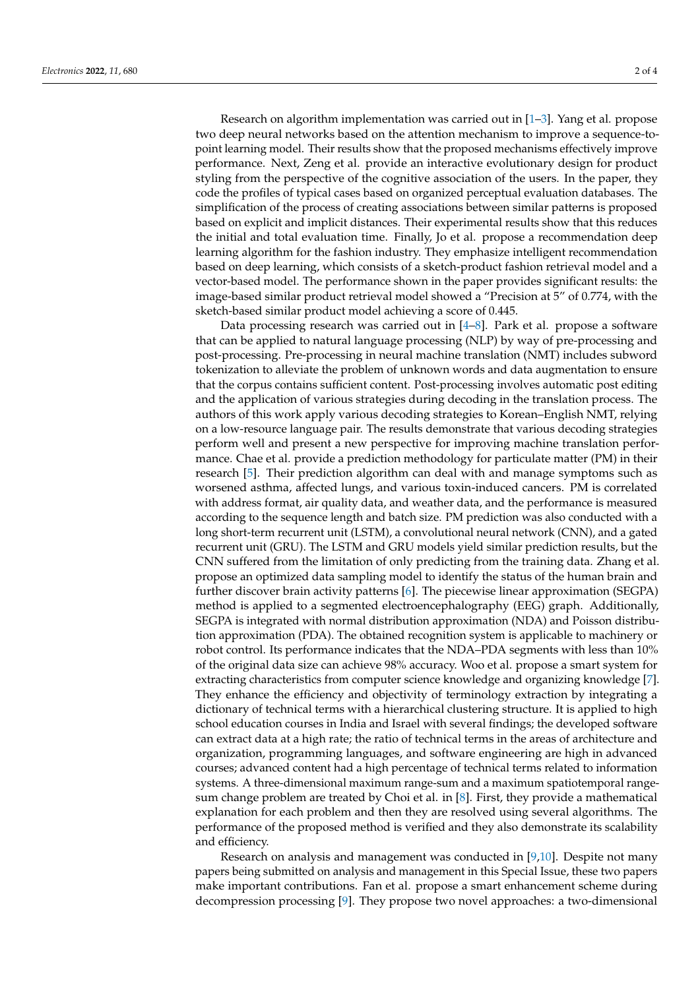Research on algorithm implementation was carried out in [\[1](#page-2-0)[–3\]](#page-2-1). Yang et al. propose two deep neural networks based on the attention mechanism to improve a sequence-topoint learning model. Their results show that the proposed mechanisms effectively improve performance. Next, Zeng et al. provide an interactive evolutionary design for product styling from the perspective of the cognitive association of the users. In the paper, they code the profiles of typical cases based on organized perceptual evaluation databases. The simplification of the process of creating associations between similar patterns is proposed based on explicit and implicit distances. Their experimental results show that this reduces the initial and total evaluation time. Finally, Jo et al. propose a recommendation deep learning algorithm for the fashion industry. They emphasize intelligent recommendation based on deep learning, which consists of a sketch-product fashion retrieval model and a vector-based model. The performance shown in the paper provides significant results: the image-based similar product retrieval model showed a "Precision at 5" of 0.774, with the sketch-based similar product model achieving a score of 0.445.

Data processing research was carried out in [\[4](#page-2-2)[–8\]](#page-3-0). Park et al. propose a software that can be applied to natural language processing (NLP) by way of pre-processing and post-processing. Pre-processing in neural machine translation (NMT) includes subword tokenization to alleviate the problem of unknown words and data augmentation to ensure that the corpus contains sufficient content. Post-processing involves automatic post editing and the application of various strategies during decoding in the translation process. The authors of this work apply various decoding strategies to Korean–English NMT, relying on a low-resource language pair. The results demonstrate that various decoding strategies perform well and present a new perspective for improving machine translation performance. Chae et al. provide a prediction methodology for particulate matter (PM) in their research [\[5\]](#page-2-3). Their prediction algorithm can deal with and manage symptoms such as worsened asthma, affected lungs, and various toxin-induced cancers. PM is correlated with address format, air quality data, and weather data, and the performance is measured according to the sequence length and batch size. PM prediction was also conducted with a long short-term recurrent unit (LSTM), a convolutional neural network (CNN), and a gated recurrent unit (GRU). The LSTM and GRU models yield similar prediction results, but the CNN suffered from the limitation of only predicting from the training data. Zhang et al. propose an optimized data sampling model to identify the status of the human brain and further discover brain activity patterns [\[6\]](#page-2-4). The piecewise linear approximation (SEGPA) method is applied to a segmented electroencephalography (EEG) graph. Additionally, SEGPA is integrated with normal distribution approximation (NDA) and Poisson distribution approximation (PDA). The obtained recognition system is applicable to machinery or robot control. Its performance indicates that the NDA–PDA segments with less than 10% of the original data size can achieve 98% accuracy. Woo et al. propose a smart system for extracting characteristics from computer science knowledge and organizing knowledge [\[7\]](#page-3-1). They enhance the efficiency and objectivity of terminology extraction by integrating a dictionary of technical terms with a hierarchical clustering structure. It is applied to high school education courses in India and Israel with several findings; the developed software can extract data at a high rate; the ratio of technical terms in the areas of architecture and organization, programming languages, and software engineering are high in advanced courses; advanced content had a high percentage of technical terms related to information systems. A three-dimensional maximum range-sum and a maximum spatiotemporal rangesum change problem are treated by Choi et al. in [\[8\]](#page-3-0). First, they provide a mathematical explanation for each problem and then they are resolved using several algorithms. The performance of the proposed method is verified and they also demonstrate its scalability and efficiency.

Research on analysis and management was conducted in [\[9,](#page-3-2)[10\]](#page-3-3). Despite not many papers being submitted on analysis and management in this Special Issue, these two papers make important contributions. Fan et al. propose a smart enhancement scheme during decompression processing [\[9\]](#page-3-2). They propose two novel approaches: a two-dimensional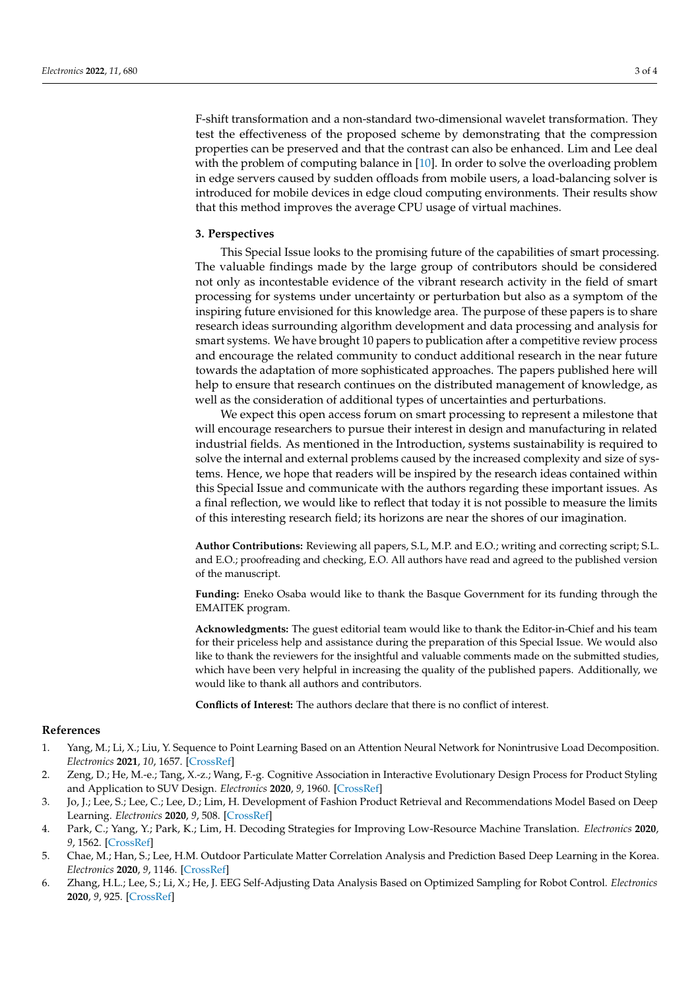F-shift transformation and a non-standard two-dimensional wavelet transformation. They test the effectiveness of the proposed scheme by demonstrating that the compression properties can be preserved and that the contrast can also be enhanced. Lim and Lee deal with the problem of computing balance in [\[10\]](#page-3-3). In order to solve the overloading problem in edge servers caused by sudden offloads from mobile users, a load-balancing solver is introduced for mobile devices in edge cloud computing environments. Their results show that this method improves the average CPU usage of virtual machines.

## **3. Perspectives**

This Special Issue looks to the promising future of the capabilities of smart processing. The valuable findings made by the large group of contributors should be considered not only as incontestable evidence of the vibrant research activity in the field of smart processing for systems under uncertainty or perturbation but also as a symptom of the inspiring future envisioned for this knowledge area. The purpose of these papers is to share research ideas surrounding algorithm development and data processing and analysis for smart systems. We have brought 10 papers to publication after a competitive review process and encourage the related community to conduct additional research in the near future towards the adaptation of more sophisticated approaches. The papers published here will help to ensure that research continues on the distributed management of knowledge, as well as the consideration of additional types of uncertainties and perturbations.

We expect this open access forum on smart processing to represent a milestone that will encourage researchers to pursue their interest in design and manufacturing in related industrial fields. As mentioned in the Introduction, systems sustainability is required to solve the internal and external problems caused by the increased complexity and size of systems. Hence, we hope that readers will be inspired by the research ideas contained within this Special Issue and communicate with the authors regarding these important issues. As a final reflection, we would like to reflect that today it is not possible to measure the limits of this interesting research field; its horizons are near the shores of our imagination.

**Author Contributions:** Reviewing all papers, S.L, M.P. and E.O.; writing and correcting script; S.L. and E.O.; proofreading and checking, E.O. All authors have read and agreed to the published version of the manuscript.

**Funding:** Eneko Osaba would like to thank the Basque Government for its funding through the EMAITEK program.

**Acknowledgments:** The guest editorial team would like to thank the Editor-in-Chief and his team for their priceless help and assistance during the preparation of this Special Issue. We would also like to thank the reviewers for the insightful and valuable comments made on the submitted studies, which have been very helpful in increasing the quality of the published papers. Additionally, we would like to thank all authors and contributors.

**Conflicts of Interest:** The authors declare that there is no conflict of interest.

## **References**

- <span id="page-2-0"></span>1. Yang, M.; Li, X.; Liu, Y. Sequence to Point Learning Based on an Attention Neural Network for Nonintrusive Load Decomposition. *Electronics* **2021**, *10*, 1657. [\[CrossRef\]](http://doi.org/10.3390/electronics10141657)
- 2. Zeng, D.; He, M.-e.; Tang, X.-z.; Wang, F.-g. Cognitive Association in Interactive Evolutionary Design Process for Product Styling and Application to SUV Design. *Electronics* **2020**, *9*, 1960. [\[CrossRef\]](http://doi.org/10.3390/electronics9111960)
- <span id="page-2-1"></span>3. Jo, J.; Lee, S.; Lee, C.; Lee, D.; Lim, H. Development of Fashion Product Retrieval and Recommendations Model Based on Deep Learning. *Electronics* **2020**, *9*, 508. [\[CrossRef\]](http://doi.org/10.3390/electronics9030508)
- <span id="page-2-2"></span>4. Park, C.; Yang, Y.; Park, K.; Lim, H. Decoding Strategies for Improving Low-Resource Machine Translation. *Electronics* **2020**, *9*, 1562. [\[CrossRef\]](http://doi.org/10.3390/electronics9101562)
- <span id="page-2-3"></span>5. Chae, M.; Han, S.; Lee, H.M. Outdoor Particulate Matter Correlation Analysis and Prediction Based Deep Learning in the Korea. *Electronics* **2020**, *9*, 1146. [\[CrossRef\]](http://doi.org/10.3390/electronics9071146)
- <span id="page-2-4"></span>6. Zhang, H.L.; Lee, S.; Li, X.; He, J. EEG Self-Adjusting Data Analysis Based on Optimized Sampling for Robot Control. *Electronics* **2020**, *9*, 925. [\[CrossRef\]](http://doi.org/10.3390/electronics9060925)